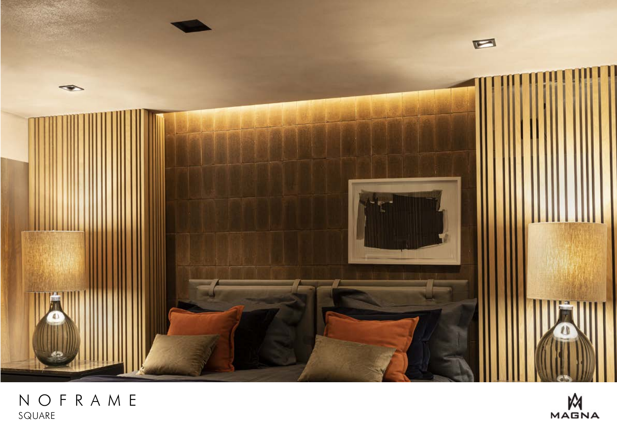

## NOFRAME SQUARE